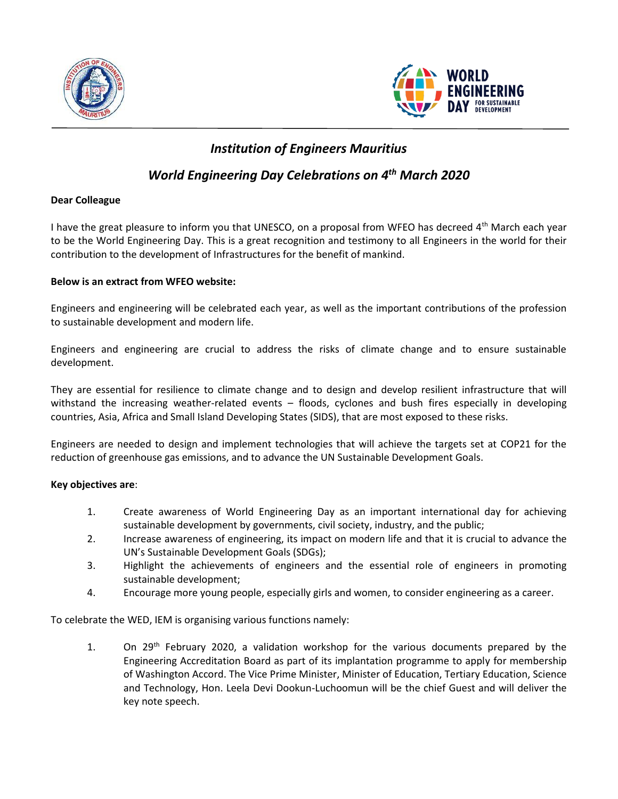



# *Institution of Engineers Mauritius*

## *World Engineering Day Celebrations on 4th March 2020*

#### **Dear Colleague**

I have the great pleasure to inform you that UNESCO, on a proposal from WFEO has decreed 4<sup>th</sup> March each year to be the World Engineering Day. This is a great recognition and testimony to all Engineers in the world for their contribution to the development of Infrastructures for the benefit of mankind.

### **Below is an extract from WFEO website:**

Engineers and engineering will be celebrated each year, as well as the important contributions of the profession to sustainable development and modern life.

Engineers and engineering are crucial to address the risks of climate change and to ensure sustainable development.

They are essential for resilience to climate change and to design and develop resilient infrastructure that will withstand the increasing weather-related events – floods, cyclones and bush fires especially in developing countries, Asia, Africa and Small Island Developing States (SIDS), that are most exposed to these risks.

Engineers are needed to design and implement technologies that will achieve the targets set at COP21 for the reduction of greenhouse gas emissions, and to advance the UN Sustainable Development Goals.

### **Key objectives are**:

- 1. Create awareness of World Engineering Day as an important international day for achieving sustainable development by governments, civil society, industry, and the public;
- 2. Increase awareness of engineering, its impact on modern life and that it is crucial to advance the UN's Sustainable Development Goals (SDGs);
- 3. Highlight the achievements of engineers and the essential role of engineers in promoting sustainable development;
- 4. Encourage more young people, especially girls and women, to consider engineering as a career.

To celebrate the WED, IEM is organising various functions namely:

1. On  $29<sup>th</sup>$  February 2020, a validation workshop for the various documents prepared by the Engineering Accreditation Board as part of its implantation programme to apply for membership of Washington Accord. The Vice Prime Minister, Minister of Education, Tertiary Education, Science and Technology, Hon. Leela Devi Dookun-Luchoomun will be the chief Guest and will deliver the key note speech.